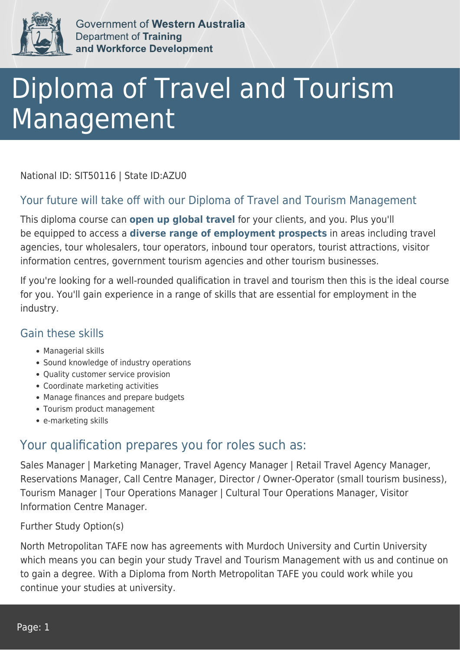

Government of Western Australia Department of Training and Workforce Development

# Diploma of Travel and Tourism Management

National ID: SIT50116 | State ID:AZU0

### Your future will take off with our Diploma of Travel and Tourism Management

This diploma course can **open up global travel** for your clients, and you. Plus you'll be equipped to access a **diverse range of employment prospects** in areas including travel agencies, tour wholesalers, tour operators, inbound tour operators, tourist attractions, visitor information centres, government tourism agencies and other tourism businesses.

If you're looking for a well-rounded qualification in travel and tourism then this is the ideal course for you. You'll gain experience in a range of skills that are essential for employment in the industry.

#### Gain these skills

- Managerial skills
- Sound knowledge of industry operations
- Quality customer service provision
- Coordinate marketing activities
- Manage finances and prepare budgets
- Tourism product management
- e-marketing skills

## Your qualification prepares you for roles such as:

Sales Manager | Marketing Manager, Travel Agency Manager | Retail Travel Agency Manager, Reservations Manager, Call Centre Manager, Director / Owner-Operator (small tourism business), Tourism Manager | Tour Operations Manager | Cultural Tour Operations Manager, Visitor Information Centre Manager.

Further Study Option(s)

North Metropolitan TAFE now has agreements with Murdoch University and Curtin University which means you can begin your study Travel and Tourism Management with us and continue on to gain a degree. With a Diploma from North Metropolitan TAFE you could work while you continue your studies at university.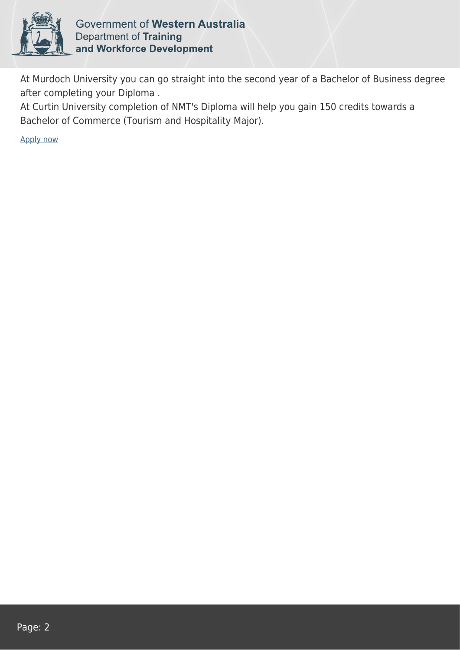

Government of Western Australia **Department of Training** and Workforce Development

At Murdoch University you can go straight into the second year of a Bachelor of Business degree after completing your Diploma .

At Curtin University completion of NMT's Diploma will help you gain 150 credits towards a Bachelor of Commerce (Tourism and Hospitality Major).

[Apply now](https://tasonline.tafe.wa.edu.au/Default.aspx)